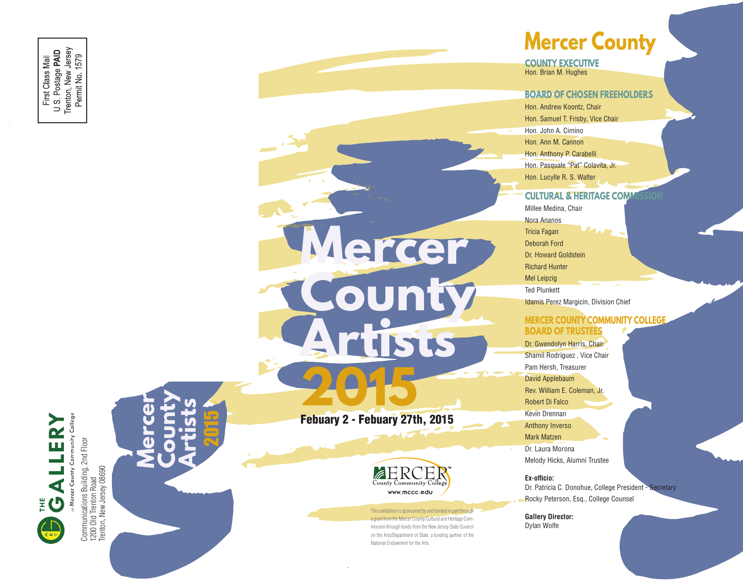**2015** Febuary 2 - Febuary 27th, 2015

**Artists**

**M**



**Mercer** 

**County** 

 mission through funds from the New Jersey State Council This exhibition is sponsored by and funded in part through a grant from the Mercer County Cultural and Heritage Com on the Arts/Department of State, a funding partner of the National Endowment for the Arts.

# **Mercer County**

**COUNTY EXECUTIVE** Hon. Brian M. Hughes

#### **BOARD OF CHOSEN FREEHOLDERS**

Hon. Andrew Koontz, Chair Hon. Samuel T. Frisby, Vice Chair Hon. John A. Cimino Hon. Ann M. Cannon Hon. Anthony P. Carabelli Hon. Pasquale "Pat" Colavita, Jr. Hon. Lucylle R. S. Walter

#### **CULTURAL & HERITAGE COMM**

Millee Medina, Chair Nora Ananos Tricia Fagan Deborah Ford Dr. Howard Goldstein Richard Hunter Mel Leipzig Ted Plunkett

Idamis Perez Margicin, Division Chief

#### **MERCER COUNTY COMMUNITY COLLEGE BOARD OF TRUSTEES**

Dr. Gwendolyn Harris, Chair Shamil Rodriguez , Vice Chair Pam Hersh, Treasurer David Applebaum Rev. William E. Coleman, Jr. Robert Di Falco Kevin Drennan Anthony Inverso Mark Matzen Dr. Laura Morona

Melody Hicks, Alumni Trustee

#### **Ex-officio:**

Dr. Patricia C. Donohue, College President - Secretary Rocky Peterson, Esq., College Counsel

**Gallery Director:** Dylan Wolfe



1200 Old Trenton Road Trenton, New Jersey 08690 2015

**Mercer** 

**County Artists**